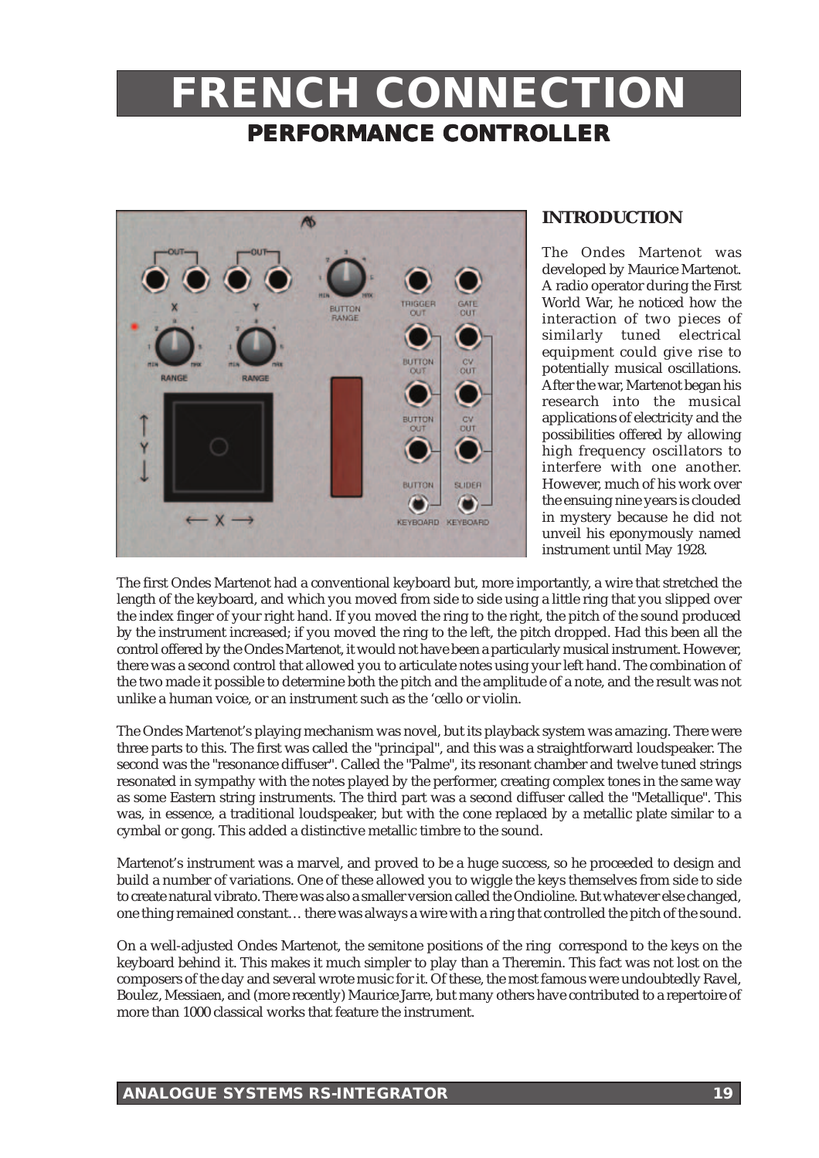# **FRENCH CONNECTION PERFORMANCE CONTROLLER**



## **INTRODUCTION**

The Ondes Martenot was developed by Maurice Martenot. A radio operator during the First World War, he noticed how the interaction of two pieces of similarly tuned electrical equipment could give rise to potentially musical oscillations. After the war, Martenot began his research into the musical applications of electricity and the possibilities offered by allowing high frequency oscillators to interfere with one another. However, much of his work over the ensuing nine years is clouded in mystery because he did not unveil his eponymously named instrument until May 1928.

The first Ondes Martenot had a conventional keyboard but, more importantly, a wire that stretched the length of the keyboard, and which you moved from side to side using a little ring that you slipped over the index finger of your right hand. If you moved the ring to the right, the pitch of the sound produced by the instrument increased; if you moved the ring to the left, the pitch dropped. Had this been all the control offered by the Ondes Martenot, it would not have been a particularly musical instrument. However, there was a second control that allowed you to articulate notes using your left hand. The combination of the two made it possible to determine both the pitch and the amplitude of a note, and the result was not unlike a human voice, or an instrument such as the 'cello or violin.

The Ondes Martenot's playing mechanism was novel, but its playback system was amazing. There were three parts to this. The first was called the "principal", and this was a straightforward loudspeaker. The second was the "resonance diffuser". Called the "Palme", its resonant chamber and twelve tuned strings resonated in sympathy with the notes played by the performer, creating complex tones in the same way as some Eastern string instruments. The third part was a second diffuser called the "Metallique". This was, in essence, a traditional loudspeaker, but with the cone replaced by a metallic plate similar to a cymbal or gong. This added a distinctive metallic timbre to the sound.

Martenot's instrument was a marvel, and proved to be a huge success, so he proceeded to design and build a number of variations. One of these allowed you to wiggle the keys themselves from side to side to create natural vibrato. There was also a smaller version called the Ondioline. But whatever else changed, one thing remained constant… there was always a wire with a ring that controlled the pitch of the sound.

On a well-adjusted Ondes Martenot, the semitone positions of the ring correspond to the keys on the keyboard behind it. This makes it much simpler to play than a Theremin. This fact was not lost on the composers of the day and several wrote music for it. Of these, the most famous were undoubtedly Ravel, Boulez, Messiaen, and (more recently) Maurice Jarre, but many others have contributed to a repertoire of more than 1000 classical works that feature the instrument.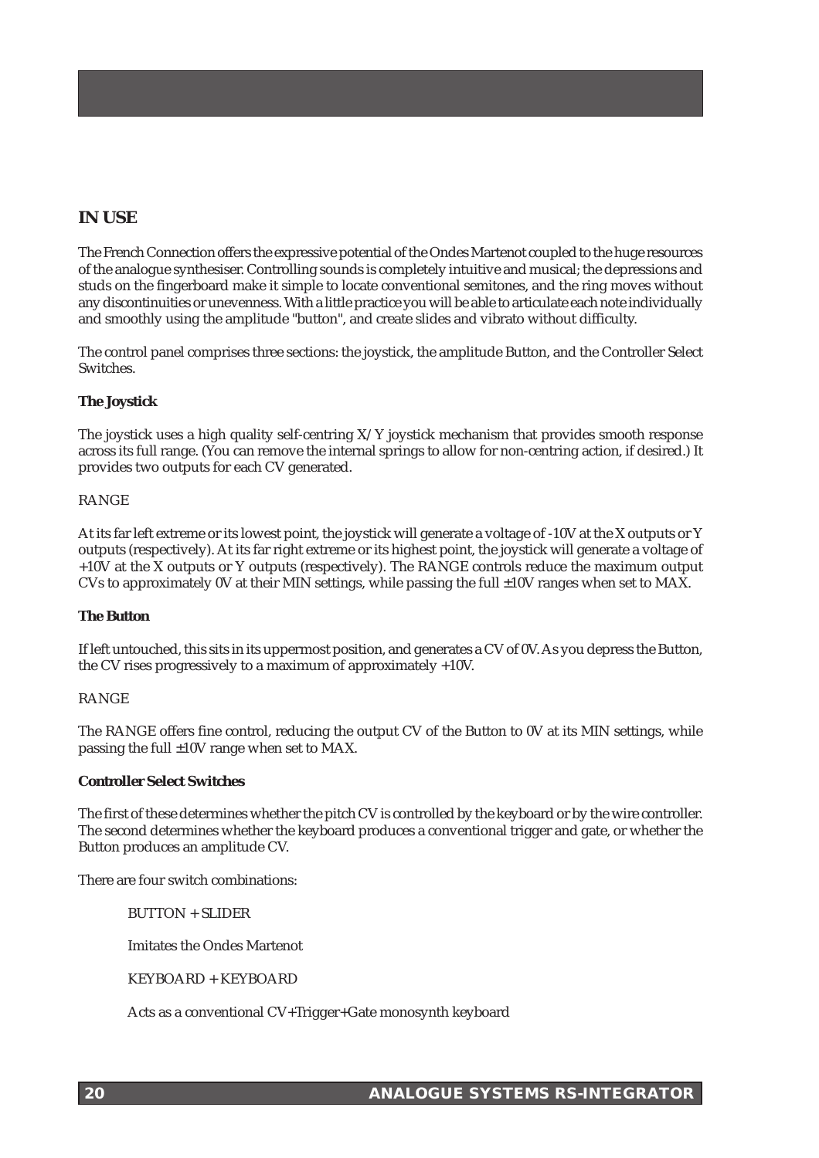# **IN USE**

The French Connection offers the expressive potential of the Ondes Martenot coupled to the huge resources of the analogue synthesiser. Controlling sounds is completely intuitive and musical; the depressions and studs on the fingerboard make it simple to locate conventional semitones, and the ring moves without any discontinuities or unevenness. With a little practice you will be able to articulate each note individually and smoothly using the amplitude "button", and create slides and vibrato without difficulty.

The control panel comprises three sections: the joystick, the amplitude Button, and the Controller Select Switches.

## **The Joystick**

The joystick uses a high quality self-centring X/Y joystick mechanism that provides smooth response across its full range. (You can remove the internal springs to allow for non-centring action, if desired.) It provides two outputs for each CV generated.

## RANGE

At its far left extreme or its lowest point, the joystick will generate a voltage of -10V at the X outputs or Y outputs (respectively). At its far right extreme or its highest point, the joystick will generate a voltage of +10V at the X outputs or Y outputs (respectively). The RANGE controls reduce the maximum output CVs to approximately 0V at their MIN settings, while passing the full ±10V ranges when set to MAX.

### **The Button**

If left untouched, this sits in its uppermost position, and generates a CV of 0V. As you depress the Button, the CV rises progressively to a maximum of approximately +10V.

### RANGE

The RANGE offers fine control, reducing the output CV of the Button to 0V at its MIN settings, while passing the full ±10V range when set to MAX.

### **Controller Select Switches**

The first of these determines whether the pitch CV is controlled by the keyboard or by the wire controller. The second determines whether the keyboard produces a conventional trigger and gate, or whether the Button produces an amplitude CV.

There are four switch combinations:

 $BUTTON + SLIDER$ 

Imitates the Ondes Martenot

KEYBOARD + KEYBOARD

Acts as a conventional CV+Trigger+Gate monosynth keyboard